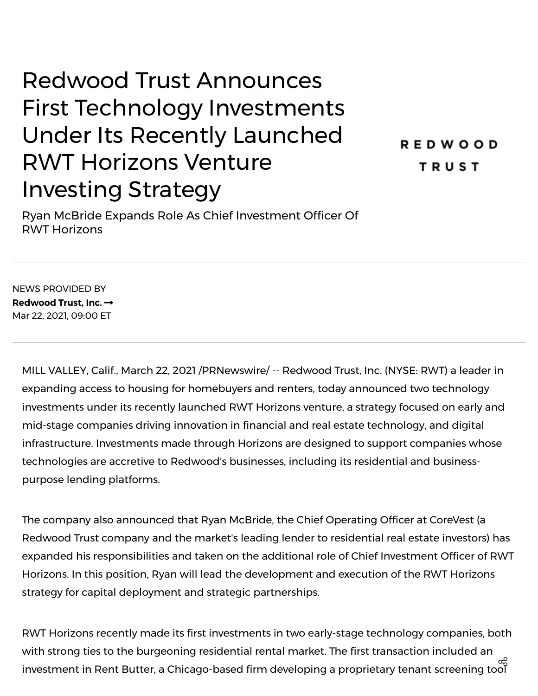## Redwood Trust Announces First Technology Investments Under Its Recently Launched RWT Horizons Venture Investing Strategy

**REDWOOD TRUST** 

Ryan McBride Expands Role As Chief Investment Officer Of RWT Horizons

NEWS PROVIDED BY **[Redwood](https://www.prnewswire.com/news/redwood-trust%2C-inc./) Trust, Inc.** Mar 22, 2021, 09:00 ET

MILL VALLEY, Calif., March 22, 2021 /PRNewswire/ -- [Redwood](https://c212.net/c/link/?t=0&l=en&o=3103908-1&h=1018375301&u=https%3A%2F%2Fwww.redwoodtrust.com%2F&a=Redwood+Trust%2C+Inc.) Trust, Inc. (NYSE: RWT) a leader in expanding access to housing for homebuyers and renters, today announced two technology investments under its recently launched RWT Horizons venture, a strategy focused on early and mid-stage companies driving innovation in financial and real estate technology, and digital infrastructure. Investments made through Horizons are designed to support companies whose technologies are accretive to Redwood's businesses, including its residential and businesspurpose lending platforms.

The company also announced that Ryan McBride, the Chief Operating Officer at [CoreVest](https://c212.net/c/link/?t=0&l=en&o=3103908-1&h=3449167372&u=https%3A%2F%2Fwww.corevestfinance.com%2F&a=CoreVest) (a Redwood Trust company and the market's leading lender to residential real estate investors) has expanded his responsibilities and taken on the additional role of Chief Investment Officer of RWT Horizons. In this position, Ryan will lead the development and execution of the RWT Horizons strategy for capital deployment and strategic partnerships.

RWT Horizons recently made its first investments in two early-stage technology companies, both with strong ties to the burgeoning residential rental market. The first transaction included an investment in Rent [Butter](https://c212.net/c/link/?t=0&l=en&o=3103908-1&h=681458341&u=https%3A%2F%2Frentbutter.com%2F&a=Rent+Butter), a Chicago-based firm developing a proprietary tenant screening tool ထိ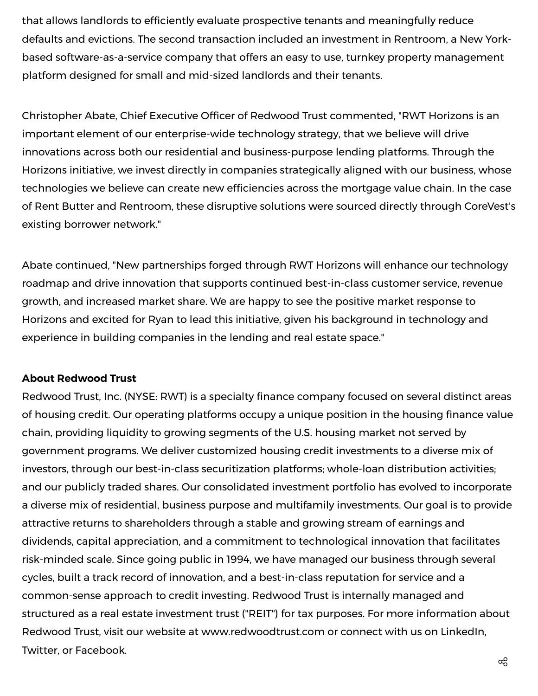that allows landlords to efficiently evaluate prospective tenants and meaningfully reduce defaults and evictions. The second transaction included an investment in [Rentroom,](https://c212.net/c/link/?t=0&l=en&o=3103908-1&h=3622994937&u=https%3A%2F%2Fwww.getrentroom.com%2F&a=Rent+Room) a New Yorkbased software-as-a-service company that offers an easy to use, turnkey property management platform designed for small and mid-sized landlords and their tenants.

Christopher Abate, Chief Executive Officer of Redwood Trust commented, "RWT Horizons is an important element of our enterprise-wide technology strategy, that we believe will drive innovations across both our residential and business-purpose lending platforms. Through the Horizons initiative, we invest directly in companies strategically aligned with our business, whose technologies we believe can create new efficiencies across the mortgage value chain. In the case of Rent Butter and Rentroom, these disruptive solutions were sourced directly through CoreVest's existing borrower network."

Abate continued, "New partnerships forged through RWT Horizons will enhance our technology roadmap and drive innovation that supports continued best-in-class customer service, revenue growth, and increased market share. We are happy to see the positive market response to Horizons and excited for Ryan to lead this initiative, given his background in technology and experience in building companies in the lending and real estate space."

## **About Redwood Trust**

Redwood Trust, Inc. (NYSE: RWT) is a specialty finance company focused on several distinct areas of housing credit. Our operating platforms occupy a unique position in the housing finance value chain, providing liquidity to growing segments of the U.S. housing market not served by government programs. We deliver customized housing credit investments to a diverse mix of investors, through our best-in-class securitization platforms; whole-loan distribution activities; and our publicly traded shares. Our consolidated investment portfolio has evolved to incorporate a diverse mix of residential, business purpose and multifamily investments. Our goal is to provide attractive returns to shareholders through a stable and growing stream of earnings and dividends, capital appreciation, and a commitment to technological innovation that facilitates risk-minded scale. Since going public in 1994, we have managed our business through several cycles, built a track record of innovation, and a best-in-class reputation for service and a common-sense approach to credit investing. Redwood Trust is internally managed and structured as a real estate investment trust ("REIT") for tax purposes. For more information about Redwood Trust, visit our website at [www.redwoodtrust.com](https://c212.net/c/link/?t=0&l=en&o=3103908-1&h=170038763&u=http%3A%2F%2Fwww.redwoodtrust.com%2F&a=www.redwoodtrust.com) or connect with us on [LinkedIn](https://c212.net/c/link/?t=0&l=en&o=3103908-1&h=3031290764&u=https%3A%2F%2Fwww.linkedin.com%2Fcompany%2Fredwood-trust%2Fmycompany%2F&a=LinkedIn), [Twitter,](https://c212.net/c/link/?t=0&l=en&o=3103908-1&h=4090191500&u=https%3A%2F%2Ftwitter.com%2FRedwoodTrustInc&a=Twitter) or [Facebook](https://c212.net/c/link/?t=0&l=en&o=3103908-1&h=3998217833&u=https%3A%2F%2Fwww.facebook.com%2Fpg%2Fredwoodtrustinc%2Fposts%2F&a=Facebook).